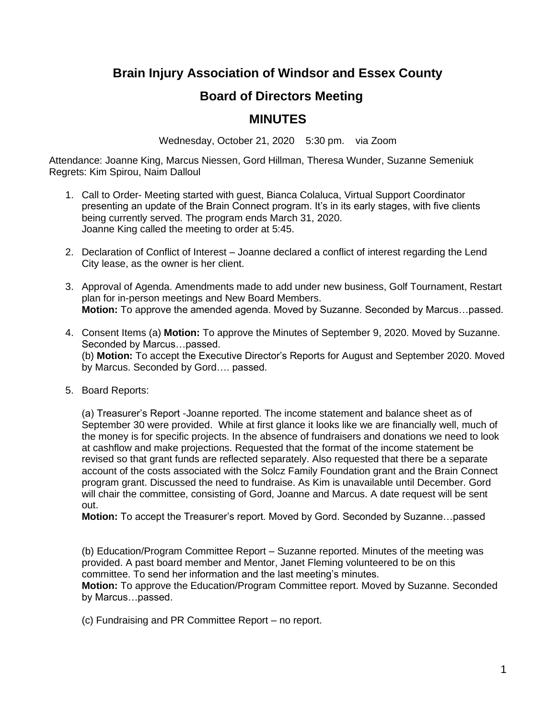## **Brain Injury Association of Windsor and Essex County**

## **Board of Directors Meeting**

## **MINUTES**

Wednesday, October 21, 2020 5:30 pm. via Zoom

Attendance: Joanne King, Marcus Niessen, Gord Hillman, Theresa Wunder, Suzanne Semeniuk Regrets: Kim Spirou, Naim Dalloul

- 1. Call to Order- Meeting started with guest, Bianca Colaluca, Virtual Support Coordinator presenting an update of the Brain Connect program. It's in its early stages, with five clients being currently served. The program ends March 31, 2020. Joanne King called the meeting to order at 5:45.
- 2. Declaration of Conflict of Interest Joanne declared a conflict of interest regarding the Lend City lease, as the owner is her client.
- 3. Approval of Agenda. Amendments made to add under new business, Golf Tournament, Restart plan for in-person meetings and New Board Members. **Motion:** To approve the amended agenda. Moved by Suzanne. Seconded by Marcus…passed.
- 4. Consent Items (a) **Motion:** To approve the Minutes of September 9, 2020. Moved by Suzanne. Seconded by Marcus…passed. (b) **Motion:** To accept the Executive Director's Reports for August and September 2020. Moved by Marcus. Seconded by Gord…. passed.
- 5. Board Reports:

(a) Treasurer's Report -Joanne reported. The income statement and balance sheet as of September 30 were provided. While at first glance it looks like we are financially well, much of the money is for specific projects. In the absence of fundraisers and donations we need to look at cashflow and make projections. Requested that the format of the income statement be revised so that grant funds are reflected separately. Also requested that there be a separate account of the costs associated with the Solcz Family Foundation grant and the Brain Connect program grant. Discussed the need to fundraise. As Kim is unavailable until December. Gord will chair the committee, consisting of Gord, Joanne and Marcus. A date request will be sent out.

**Motion:** To accept the Treasurer's report. Moved by Gord. Seconded by Suzanne…passed

(b) Education/Program Committee Report – Suzanne reported. Minutes of the meeting was provided. A past board member and Mentor, Janet Fleming volunteered to be on this committee. To send her information and the last meeting's minutes.

**Motion:** To approve the Education/Program Committee report. Moved by Suzanne. Seconded by Marcus…passed.

(c) Fundraising and PR Committee Report – no report.